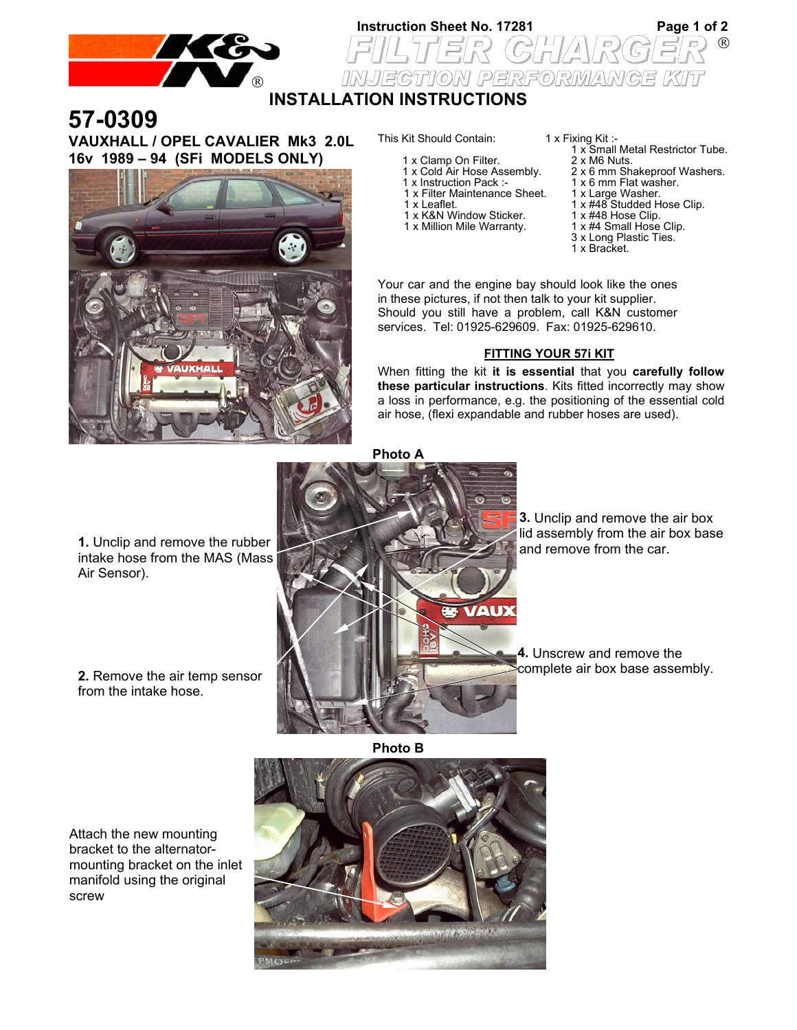

manifold using the original screw